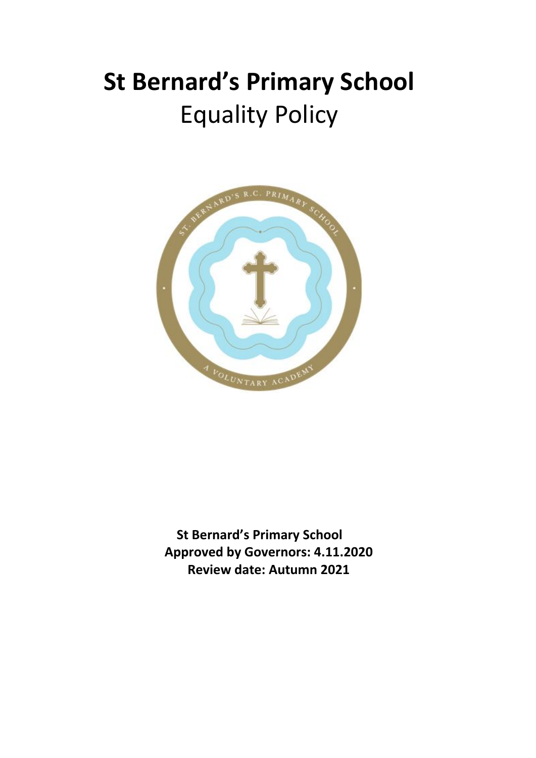# **St Bernard's Primary School** Equality Policy



**St Bernard's Primary School Approved by Governors: 4.11.2020 Review date: Autumn 2021**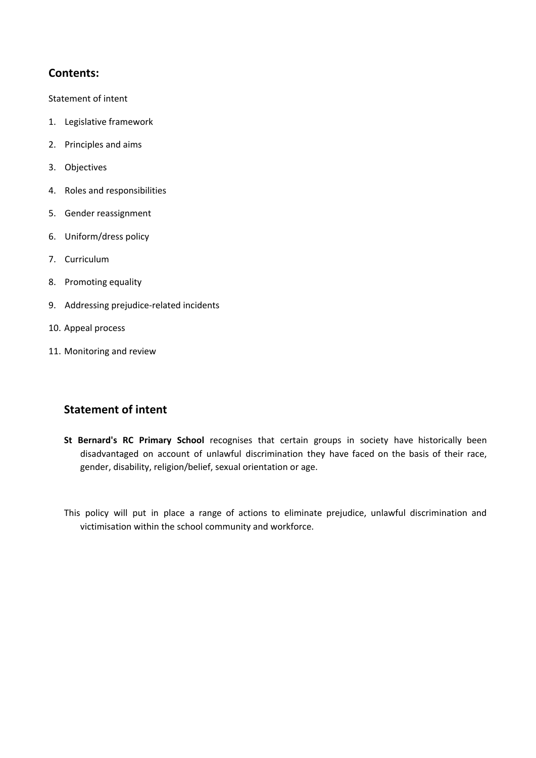### **Contents:**

Statement of intent

- 1. Legislative framework
- 2. Principles and aims
- 3. Objectives
- 4. Roles and responsibilities
- 5. Gender reassignment
- 6. Uniform/dress policy
- 7. Curriculum
- 8. Promoting equality
- 9. Addressing prejudice-related incidents
- 10. Appeal process
- 11. Monitoring and review

### **Statement of intent**

**St Bernard's RC Primary School** recognises that certain groups in society have historically been disadvantaged on account of unlawful discrimination they have faced on the basis of their race, gender, disability, religion/belief, sexual orientation or age.

This policy will put in place a range of actions to eliminate prejudice, unlawful discrimination and victimisation within the school community and workforce.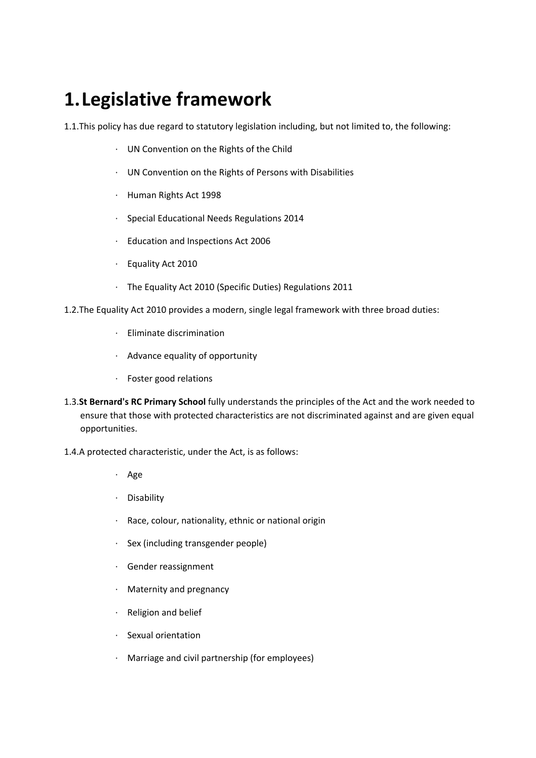### **1.Legislative framework**

1.1.This policy has due regard to statutory legislation including, but not limited to, the following:

- · UN Convention on the Rights of the Child
- · UN Convention on the Rights of Persons with Disabilities
- · Human Rights Act 1998
- · Special Educational Needs Regulations 2014
- · Education and Inspections Act 2006
- · Equality Act 2010
- · The Equality Act 2010 (Specific Duties) Regulations 2011
- 1.2.The Equality Act 2010 provides a modern, single legal framework with three broad duties:
	- · Eliminate discrimination
	- · Advance equality of opportunity
	- · Foster good relations
- 1.3.**St Bernard's RC Primary School** fully understands the principles of the Act and the work needed to ensure that those with protected characteristics are not discriminated against and are given equal opportunities.
- 1.4.A protected characteristic, under the Act, is as follows:
	- · Age
	- · Disability
	- · Race, colour, nationality, ethnic or national origin
	- · Sex (including transgender people)
	- · Gender reassignment
	- · Maternity and pregnancy
	- · Religion and belief
	- · Sexual orientation
	- · Marriage and civil partnership (for employees)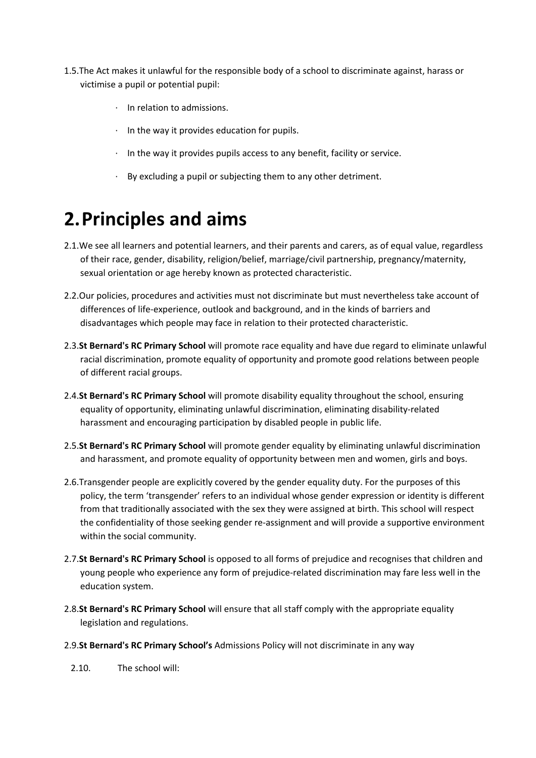- 1.5.The Act makes it unlawful for the responsible body of a school to discriminate against, harass or victimise a pupil or potential pupil:
	- · In relation to admissions.
	- · In the way it provides education for pupils.
	- · In the way it provides pupils access to any benefit, facility or service.
	- · By excluding a pupil or subjecting them to any other detriment.

### **2.Principles and aims**

- 2.1.We see all learners and potential learners, and their parents and carers, as of equal value, regardless of their race, gender, disability, religion/belief, marriage/civil partnership, pregnancy/maternity, sexual orientation or age hereby known as protected characteristic.
- 2.2.Our policies, procedures and activities must not discriminate but must nevertheless take account of differences of life-experience, outlook and background, and in the kinds of barriers and disadvantages which people may face in relation to their protected characteristic.
- 2.3.**St Bernard's RC Primary School** will promote race equality and have due regard to eliminate unlawful racial discrimination, promote equality of opportunity and promote good relations between people of different racial groups.
- 2.4.**St Bernard's RC Primary School** will promote disability equality throughout the school, ensuring equality of opportunity, eliminating unlawful discrimination, eliminating disability-related harassment and encouraging participation by disabled people in public life.
- 2.5.**St Bernard's RC Primary School** will promote gender equality by eliminating unlawful discrimination and harassment, and promote equality of opportunity between men and women, girls and boys.
- 2.6.Transgender people are explicitly covered by the gender equality duty. For the purposes of this policy, the term 'transgender' refers to an individual whose gender expression or identity is different from that traditionally associated with the sex they were assigned at birth. This school will respect the confidentiality of those seeking gender re-assignment and will provide a supportive environment within the social community.
- 2.7.**St Bernard's RC Primary School** is opposed to all forms of prejudice and recognises that children and young people who experience any form of prejudice-related discrimination may fare less well in the education system.
- 2.8.**St Bernard's RC Primary School** will ensure that all staff comply with the appropriate equality legislation and regulations.
- 2.9.**St Bernard's RC Primary School's** Admissions Policy will not discriminate in any way
	- 2.10. The school will: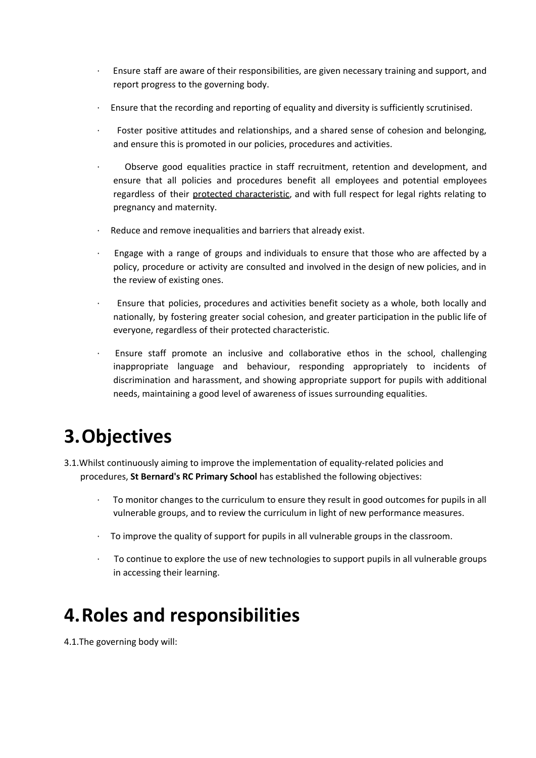- · Ensure staff are aware of their responsibilities, are given necessary training and support, and report progress to the governing body.
- · Ensure that the recording and reporting of equality and diversity is sufficiently scrutinised.
- Foster positive attitudes and relationships, and a shared sense of cohesion and belonging, and ensure this is promoted in our policies, procedures and activities.
- · Observe good equalities practice in staff recruitment, retention and development, and ensure that all policies and procedures benefit all employees and potential employees regardless of their protected characteristic, and with full respect for legal rights relating to pregnancy and maternity.
- Reduce and remove inequalities and barriers that already exist.
- · Engage with a range of groups and individuals to ensure that those who are affected by a policy, procedure or activity are consulted and involved in the design of new policies, and in the review of existing ones.
- · Ensure that policies, procedures and activities benefit society as a whole, both locally and nationally, by fostering greater social cohesion, and greater participation in the public life of everyone, regardless of their protected characteristic.
- Ensure staff promote an inclusive and collaborative ethos in the school, challenging inappropriate language and behaviour, responding appropriately to incidents of discrimination and harassment, and showing appropriate support for pupils with additional needs, maintaining a good level of awareness of issues surrounding equalities.

## **3.Objectives**

- 3.1.Whilst continuously aiming to improve the implementation of equality-related policies and procedures, **St Bernard's RC Primary School** has established the following objectives:
	- · To monitor changes to the curriculum to ensure they result in good outcomes for pupils in all vulnerable groups, and to review the curriculum in light of new performance measures.
	- · To improve the quality of support for pupils in all vulnerable groups in the classroom.
	- · To continue to explore the use of new technologies to support pupils in all vulnerable groups in accessing their learning.

## **4.Roles and responsibilities**

4.1.The governing body will: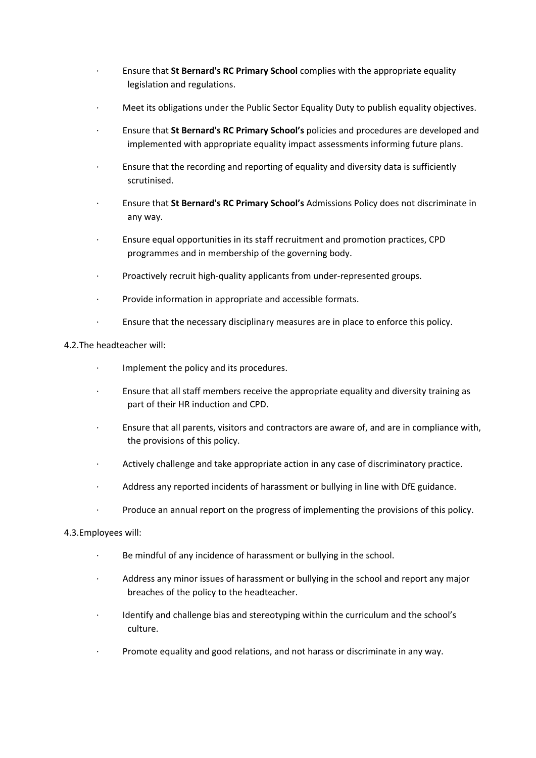- · Ensure that **St Bernard's RC Primary School** complies with the appropriate equality legislation and regulations.
- · Meet its obligations under the Public Sector Equality Duty to publish equality objectives.
- · Ensure that **St Bernard's RC Primary School's** policies and procedures are developed and implemented with appropriate equality impact assessments informing future plans.
- · Ensure that the recording and reporting of equality and diversity data is sufficiently scrutinised.
- · Ensure that **St Bernard's RC Primary School's** Admissions Policy does not discriminate in any way.
- · Ensure equal opportunities in its staff recruitment and promotion practices, CPD programmes and in membership of the governing body.
- Proactively recruit high-quality applicants from under-represented groups.
- · Provide information in appropriate and accessible formats.
- · Ensure that the necessary disciplinary measures are in place to enforce this policy.

#### 4.2.The headteacher will:

- · Implement the policy and its procedures.
- · Ensure that all staff members receive the appropriate equality and diversity training as part of their HR induction and CPD.
- · Ensure that all parents, visitors and contractors are aware of, and are in compliance with, the provisions of this policy.
- · Actively challenge and take appropriate action in any case of discriminatory practice.
- · Address any reported incidents of harassment or bullying in line with DfE guidance.
- · Produce an annual report on the progress of implementing the provisions of this policy.

#### 4.3.Employees will:

- · Be mindful of any incidence of harassment or bullying in the school.
- Address any minor issues of harassment or bullying in the school and report any major breaches of the policy to the headteacher.
- Identify and challenge bias and stereotyping within the curriculum and the school's culture.
- · Promote equality and good relations, and not harass or discriminate in any way.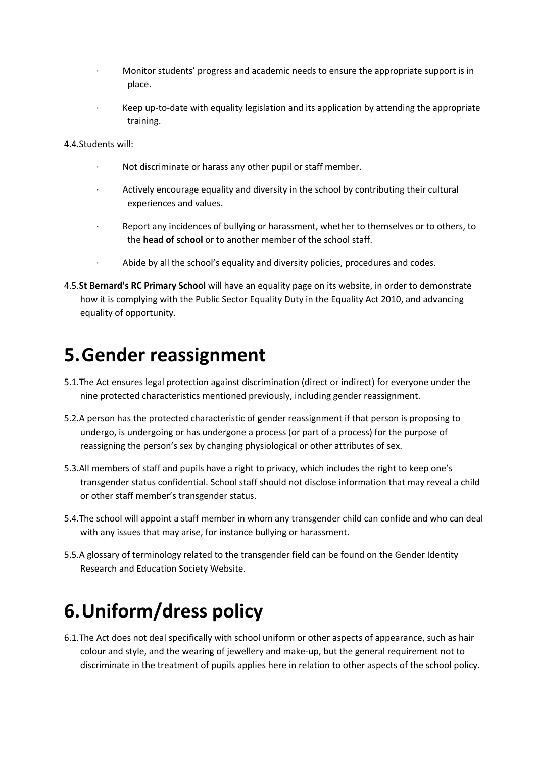- Monitor students' progress and academic needs to ensure the appropriate support is in place.
- · Keep up-to-date with equality legislation and its application by attending the appropriate training.

4.4.Students will:

- Not discriminate or harass any other pupil or staff member.
- Actively encourage equality and diversity in the school by contributing their cultural experiences and values.
- Report any incidences of bullying or harassment, whether to themselves or to others, to the **head of school** or to another member of the school staff.
- Abide by all the school's equality and diversity policies, procedures and codes.
- 4.5.**St Bernard's RC Primary School** will have an equality page on its website, in order to demonstrate how it is complying with the Public Sector Equality Duty in the Equality Act 2010, and advancing equality of opportunity.

### **5.Gender reassignment**

- 5.1.The Act ensures legal protection against discrimination (direct or indirect) for everyone under the nine protected characteristics mentioned previously, including gender reassignment.
- 5.2.A person has the protected characteristic of gender reassignment if that person is proposing to undergo, is undergoing or has undergone a process (or part of a process) for the purpose of reassigning the person's sex by changing physiological or other attributes of sex.
- 5.3.All members of staff and pupils have a right to privacy, which includes the right to keep one's transgender status confidential. School staff should not disclose information that may reveal a child or other staff member's transgender status.
- 5.4.The school will appoint a staff member in whom any transgender child can confide and who can deal with any issues that may arise, for instance bullying or harassment.
- 5.5.A glossary of terminology related to the transgender field can be found on the Gender [Identity](http://www.gires.org.uk/schools.php) Research and [Education](http://www.gires.org.uk/schools.php) Society Website.

## **6.Uniform/dress policy**

6.1.The Act does not deal specifically with school uniform or other aspects of appearance, such as hair colour and style, and the wearing of jewellery and make-up, but the general requirement not to discriminate in the treatment of pupils applies here in relation to other aspects of the school policy.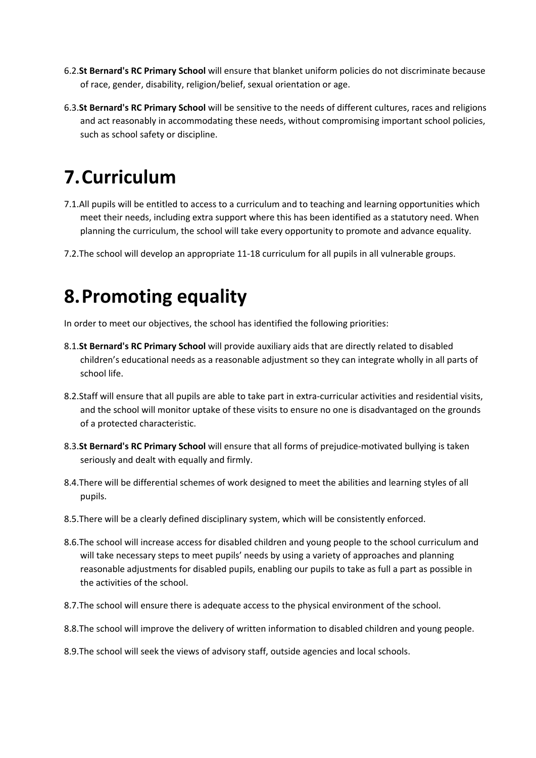- 6.2.**St Bernard's RC Primary School** will ensure that blanket uniform policies do not discriminate because of race, gender, disability, religion/belief, sexual orientation or age.
- 6.3.**St Bernard's RC Primary School** will be sensitive to the needs of different cultures, races and religions and act reasonably in accommodating these needs, without compromising important school policies, such as school safety or discipline.

# **7.Curriculum**

- 7.1.All pupils will be entitled to access to a curriculum and to teaching and learning opportunities which meet their needs, including extra support where this has been identified as a statutory need. When planning the curriculum, the school will take every opportunity to promote and advance equality.
- 7.2.The school will develop an appropriate 11-18 curriculum for all pupils in all vulnerable groups.

### **8.Promoting equality**

In order to meet our objectives, the school has identified the following priorities:

- 8.1.**St Bernard's RC Primary School** will provide auxiliary aids that are directly related to disabled children's educational needs as a reasonable adjustment so they can integrate wholly in all parts of school life.
- 8.2.Staff will ensure that all pupils are able to take part in extra-curricular activities and residential visits, and the school will monitor uptake of these visits to ensure no one is disadvantaged on the grounds of a protected characteristic.
- 8.3.**St Bernard's RC Primary School** will ensure that all forms of prejudice-motivated bullying is taken seriously and dealt with equally and firmly.
- 8.4.There will be differential schemes of work designed to meet the abilities and learning styles of all pupils.
- 8.5.There will be a clearly defined disciplinary system, which will be consistently enforced.
- 8.6.The school will increase access for disabled children and young people to the school curriculum and will take necessary steps to meet pupils' needs by using a variety of approaches and planning reasonable adjustments for disabled pupils, enabling our pupils to take as full a part as possible in the activities of the school.
- 8.7.The school will ensure there is adequate access to the physical environment of the school.
- 8.8.The school will improve the delivery of written information to disabled children and young people.
- 8.9.The school will seek the views of advisory staff, outside agencies and local schools.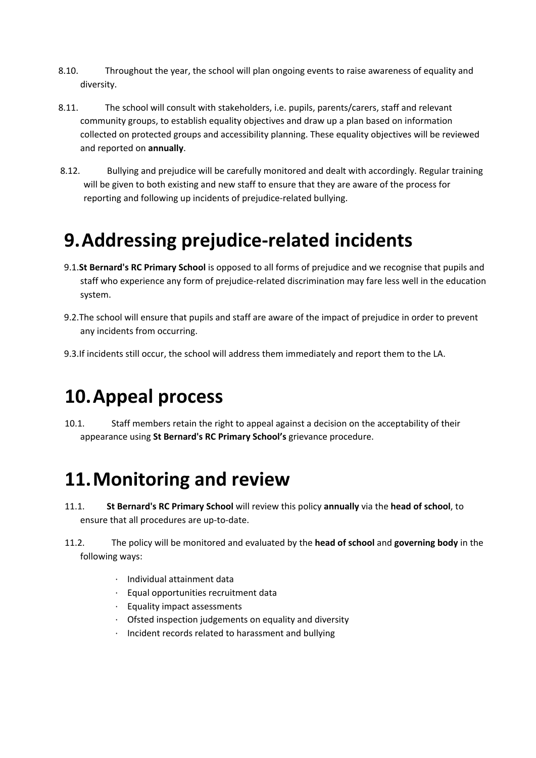- 8.10. Throughout the year, the school will plan ongoing events to raise awareness of equality and diversity.
- 8.11. The school will consult with stakeholders, i.e. pupils, parents/carers, staff and relevant community groups, to establish equality objectives and draw up a plan based on information collected on protected groups and accessibility planning. These equality objectives will be reviewed and reported on **annually**.
- 8.12. Bullying and prejudice will be carefully monitored and dealt with accordingly. Regular training will be given to both existing and new staff to ensure that they are aware of the process for reporting and following up incidents of prejudice-related bullying.

### **9.Addressing prejudice-related incidents**

- 9.1.**St Bernard's RC Primary School** is opposed to all forms of prejudice and we recognise that pupils and staff who experience any form of prejudice-related discrimination may fare less well in the education system.
- 9.2.The school will ensure that pupils and staff are aware of the impact of prejudice in order to prevent any incidents from occurring.
- 9.3.If incidents still occur, the school will address them immediately and report them to the LA.

## **10.Appeal process**

10.1. Staff members retain the right to appeal against a decision on the acceptability of their appearance using **St Bernard's RC Primary School's** grievance procedure.

### **11.Monitoring and review**

- 11.1. **St Bernard's RC Primary School** will review this policy **annually** via the **head of school**, to ensure that all procedures are up-to-date.
- 11.2. The policy will be monitored and evaluated by the **head of school** and **governing body** in the following ways:
	- · Individual attainment data
	- · Equal opportunities recruitment data
	- · Equality impact assessments
	- · Ofsted inspection judgements on equality and diversity
	- · Incident records related to harassment and bullying